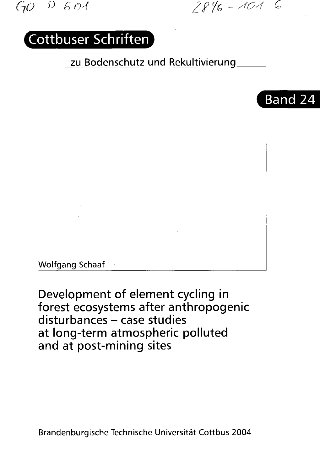GO P 601 2846-101 6

Band 24

## Cottbuser Schriften

zu Bodenschutz und Rekultivierunq



Development of element cycling in forest ecosystems after anthropogenic  $disturbances - case studies$ at long-term atmospheric polluted and at post-mining sites

Brandenburgische Technische Universitat Cottbus 2004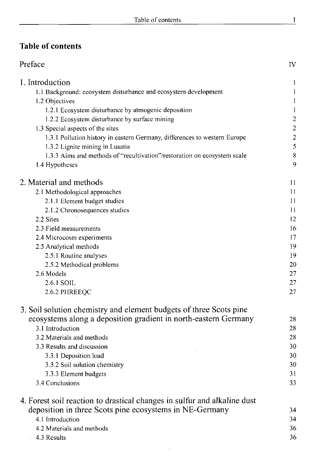## **Table of contents**

| Preface                                                                   | IV               |
|---------------------------------------------------------------------------|------------------|
| 1. Introduction                                                           | 1                |
| 1.1 Background: ecosystem disturbance and ecosystem development           | 1                |
| 1.2 Objectives                                                            | 1                |
| 1.2.1 Ecosystem disturbance by atmogenic deposition                       | 1                |
| 1.2.2 Ecosystem disturbance by surface mining                             | $\boldsymbol{2}$ |
| 1.3 Special aspects of the sites                                          | $\overline{c}$   |
| 1.3.1 Pollution history in eastern Germany, differences to western Europe | $\overline{c}$   |
| 1.3.2 Lignite mining in Lusatia                                           | 5                |
| 1.3.3 Aims and methods of "recultivation"/restoration on ecosystem scale  | 8                |
| 1.4 Hypotheses                                                            | 9                |
| 2. Material and methods                                                   | 11               |
| 2.1 Methodological approaches                                             | 11               |
| 2.1.1 Element budget studies                                              | 11               |
| 2.1.2 Chronosequences studies                                             | 11               |
| 2.2 Sites                                                                 | 12               |
| 2.3 Field measurements                                                    | 16               |
| 2.4 Microcosm experiments                                                 | 17               |
| 2.5 Analytical methods                                                    | 19               |
| 2.5.1 Routine analyses                                                    | 19               |
| 2.5.2 Methodical problems                                                 | 20               |
| 2.6 Models                                                                | 27               |
| 2.6.1 SOIL                                                                | 27               |
| 2.6.2 PHREEQC                                                             | 27               |
| 3. Soil solution chemistry and element budgets of three Scots pine        |                  |
| ecosystems along a deposition gradient in north-eastern Germany           | 28               |
| 3.1 Introduction                                                          | 28               |
| 3.2 Materials and methods                                                 | 28               |
| 3.3 Results and discussion                                                | 30               |
| 3.3.1 Deposition load                                                     | 30               |
| 3.3.2 Soil solution chemistry                                             | 30               |
| 3.3.3 Element budgets                                                     | 31               |
| 3.4 Conclusions                                                           | 33               |
| 4. Forest soil reaction to drastical changes in sulfur and alkaline dust  |                  |
| deposition in three Scots pine ecosystems in NE-Germany                   | 34               |
| 4.1 Introduction                                                          | 34               |
| 4.2 Materials and methods                                                 | 36               |
| 4.3 Results                                                               | 36               |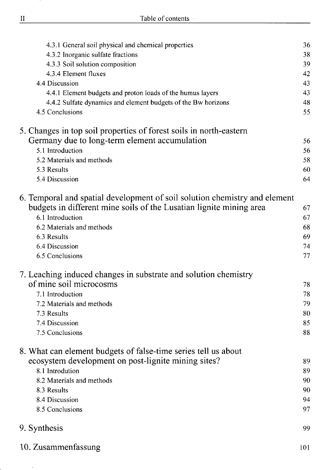| 4.3.1 General soil physical and chemical properties                        | 36  |
|----------------------------------------------------------------------------|-----|
| 4.3.2 Inorganic sulfate fractions                                          | 38  |
| 4.3.3 Soil solution composition                                            | 39  |
| 4.3.4 Element fluxes                                                       | 42  |
| 4.4 Discussion                                                             | 43  |
| 4.4.1 Element budgets and proton loads of the humus layers                 | 43  |
| 4.4.2 Sulfate dynamics and element budgets of the Bw horizons              | 48  |
| 4.5 Conclusions                                                            | 55  |
| 5. Changes in top soil properties of forest soils in north-eastern         |     |
| Germany due to long-term element accumulation                              | 56  |
| 5.1 Introduction                                                           | 56  |
| 5.2 Materials and methods                                                  | 58  |
| 5.3 Results                                                                | 60  |
| 5.4 Discussion                                                             | 64  |
| 6. Temporal and spatial development of soil solution chemistry and element |     |
| budgets in different mine soils of the Lusatian lignite mining area        | 67  |
| 6.1 Introduction                                                           | 67  |
| 6.2 Materials and methods                                                  | 68  |
| 6.3 Results                                                                | 69  |
| 6.4 Discussion                                                             | 74  |
| 6.5 Conclusions                                                            | 77  |
| 7. Leaching induced changes in substrate and solution chemistry            |     |
| of mine soil microcosms                                                    | 78  |
| 7.1 Introduction                                                           | 78  |
| 7.2 Materials and methods                                                  | 79  |
| 7.3 Results                                                                | 80  |
| 7.4 Discussion                                                             | 85  |
| 7.5 Conclusions                                                            | 88  |
| 8. What can element budgets of false-time series tell us about             |     |
| ecosystem development on post-lignite mining sites?                        | 89  |
| 8.1 Introdution                                                            | 89  |
| 8.2 Materials and methods                                                  | 90  |
| 8.3 Results                                                                | 90  |
| 8.4 Discussion                                                             | 94  |
| 8.5 Conclusions                                                            | 97  |
| 9. Synthesis                                                               | 99  |
| 10. Zusammenfassung                                                        | 101 |

 $\bar{\gamma}$